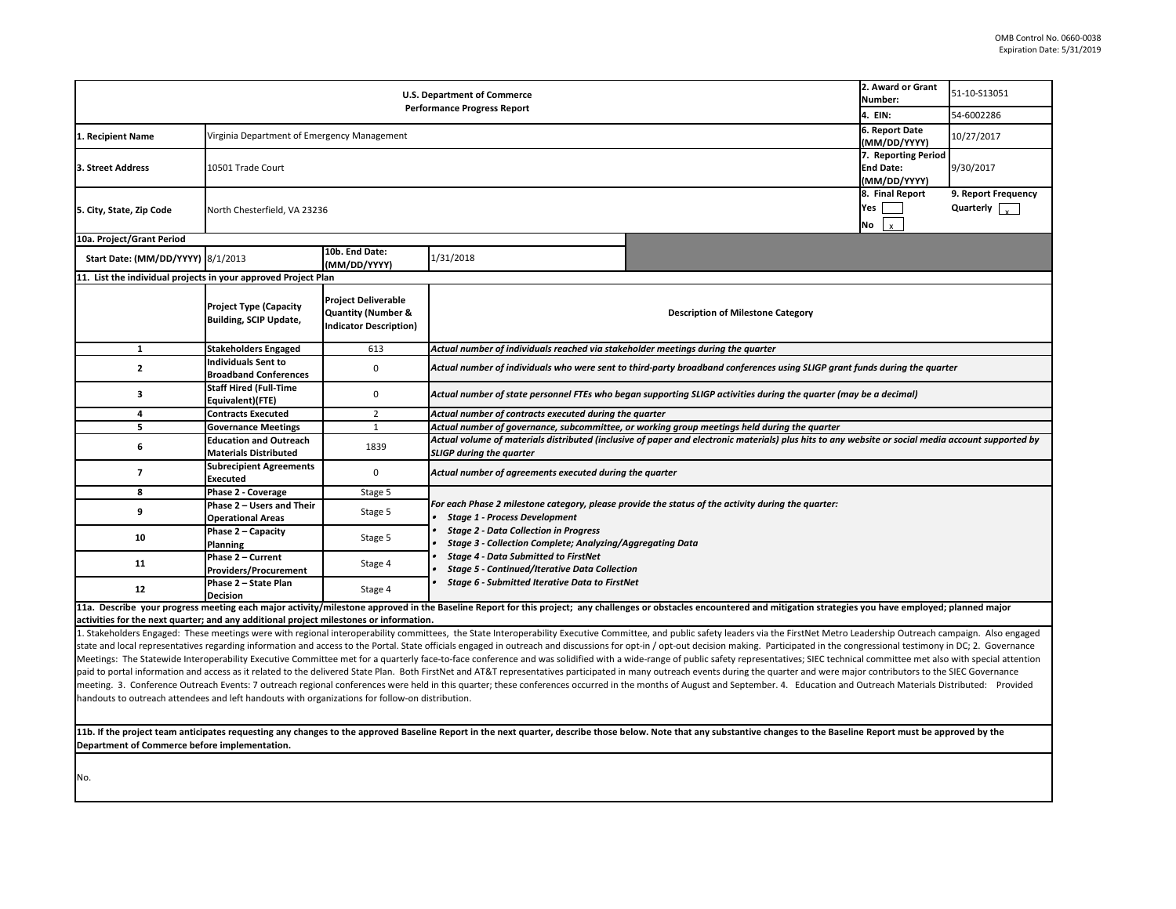**11b. If the project team anticipates requesting any changes to the approved Baseline Report in the next quarter, describe those below. Note that any substantive or that approved by the Baseline Report in the next quarter, Department of Commerce before implementation.** 

state and local representatives regarding information and access to the Portal. State officials engaged in outreach and discussions for opt-in / opt-out decision making. Participated in the congressional testimony in DC; 2 Meetings: The Statewide Interoperability Executive Committee met for a quarterly face-to-face conference and was solidified with a wide-range of public safety representatives; SIEC technical committee met also with special paid to portal information and access as it related to the delivered State Plan. Both FirstNet and AT&T representatives participated in many outreach events during the meeting. 3. Conference Outreach Events: 7 outreach regional conferences were held in this quarter; these conferences occurred in the months of August and Septemb handouts to outreach attendees and left handouts with organizations for follow-on distribution.

|                                                                                                                                                                                                                                                                                                                                                | 2. Award or Grant<br>Number:            | 51-10-S13051        |
|------------------------------------------------------------------------------------------------------------------------------------------------------------------------------------------------------------------------------------------------------------------------------------------------------------------------------------------------|-----------------------------------------|---------------------|
|                                                                                                                                                                                                                                                                                                                                                | 4. EIN:                                 | 54-6002286          |
|                                                                                                                                                                                                                                                                                                                                                | 6. Report Date                          |                     |
|                                                                                                                                                                                                                                                                                                                                                | (MM/DD/YYYY)                            | 10/27/2017          |
|                                                                                                                                                                                                                                                                                                                                                | 7. Reporting Period<br><b>End Date:</b> |                     |
|                                                                                                                                                                                                                                                                                                                                                | (MM/DD/YYYY)                            | 9/30/2017           |
|                                                                                                                                                                                                                                                                                                                                                | 8. Final Report                         | 9. Report Frequency |
|                                                                                                                                                                                                                                                                                                                                                | Yes                                     | Quarterly           |
|                                                                                                                                                                                                                                                                                                                                                | No<br>x                                 |                     |
|                                                                                                                                                                                                                                                                                                                                                |                                         |                     |
|                                                                                                                                                                                                                                                                                                                                                |                                         |                     |
|                                                                                                                                                                                                                                                                                                                                                |                                         |                     |
| ne Category                                                                                                                                                                                                                                                                                                                                    |                                         |                     |
|                                                                                                                                                                                                                                                                                                                                                |                                         |                     |
| rter                                                                                                                                                                                                                                                                                                                                           |                                         |                     |
| nces using SLIGP grant funds during the quarter                                                                                                                                                                                                                                                                                                |                                         |                     |
| luring the quarter (may be a decimal)                                                                                                                                                                                                                                                                                                          |                                         |                     |
| during the quarter                                                                                                                                                                                                                                                                                                                             |                                         |                     |
| ials) plus hits to any website or social media account supported by                                                                                                                                                                                                                                                                            |                                         |                     |
|                                                                                                                                                                                                                                                                                                                                                |                                         |                     |
|                                                                                                                                                                                                                                                                                                                                                |                                         |                     |
| luring the quarter:                                                                                                                                                                                                                                                                                                                            |                                         |                     |
| Id mitigation strategies you have employed; planned major                                                                                                                                                                                                                                                                                      |                                         |                     |
| ia the FirstNet Metro Leadership Outreach campaign. Also engaged<br>Participated in the congressional testimony in DC; 2. Governance<br>sentatives; SIEC technical committee met also with special attention<br>e quarter and were major contributors to the SIEC Governance<br>ber. 4. Education and Outreach Materials Distributed: Provided |                                         |                     |
| changes to the Baseline Report must be approved by the                                                                                                                                                                                                                                                                                         |                                         |                     |
|                                                                                                                                                                                                                                                                                                                                                |                                         |                     |
|                                                                                                                                                                                                                                                                                                                                                |                                         |                     |

| <b>U.S. Department of Commerce</b><br><b>Performance Progress Report</b>               |                                                                |                                                                                              |                                                                                                                            |                                                                                                                                                                                                                                                                                                                                                                                                                                                                  | 2. Award or Grant<br>Number:   | 51-10-S13051                                |  |
|----------------------------------------------------------------------------------------|----------------------------------------------------------------|----------------------------------------------------------------------------------------------|----------------------------------------------------------------------------------------------------------------------------|------------------------------------------------------------------------------------------------------------------------------------------------------------------------------------------------------------------------------------------------------------------------------------------------------------------------------------------------------------------------------------------------------------------------------------------------------------------|--------------------------------|---------------------------------------------|--|
|                                                                                        |                                                                |                                                                                              |                                                                                                                            |                                                                                                                                                                                                                                                                                                                                                                                                                                                                  | 4. EIN:                        | 54-6002286                                  |  |
| . Recipient Name                                                                       | Virginia Department of Emergency Management                    |                                                                                              |                                                                                                                            |                                                                                                                                                                                                                                                                                                                                                                                                                                                                  | 6. Report Date<br>(MM/DD/YYYY) | 10/27/2017                                  |  |
| 3. Street Address                                                                      | 10501 Trade Court                                              |                                                                                              |                                                                                                                            |                                                                                                                                                                                                                                                                                                                                                                                                                                                                  |                                | 9/30/2017                                   |  |
| 5. City, State, Zip Code                                                               |                                                                | (MM/DD/YYYY)<br>8. Final Report<br>North Chesterfield, VA 23236<br>No                        |                                                                                                                            |                                                                                                                                                                                                                                                                                                                                                                                                                                                                  |                                | 9. Report Frequency<br>Quarterly $\sqrt{ }$ |  |
| 10a. Project/Grant Period                                                              |                                                                |                                                                                              |                                                                                                                            |                                                                                                                                                                                                                                                                                                                                                                                                                                                                  | $\frac{1}{x}$                  |                                             |  |
| Start Date: (MM/DD/YYYY) 8/1/2013                                                      |                                                                | 10b. End Date:<br>(MM/DD/YYYY)                                                               | 1/31/2018                                                                                                                  |                                                                                                                                                                                                                                                                                                                                                                                                                                                                  |                                |                                             |  |
| 11. List the individual projects in your approved Project Plan                         |                                                                |                                                                                              |                                                                                                                            |                                                                                                                                                                                                                                                                                                                                                                                                                                                                  |                                |                                             |  |
|                                                                                        | <b>Project Type (Capacity</b><br><b>Building, SCIP Update,</b> | <b>Project Deliverable</b><br><b>Quantity (Number &amp;</b><br><b>Indicator Description)</b> |                                                                                                                            | <b>Description of Milestone Category</b>                                                                                                                                                                                                                                                                                                                                                                                                                         |                                |                                             |  |
|                                                                                        | <b>Stakeholders Engaged</b>                                    | 613                                                                                          | Actual number of individuals reached via stakeholder meetings during the quarter                                           |                                                                                                                                                                                                                                                                                                                                                                                                                                                                  |                                |                                             |  |
| $\mathbf{2}$                                                                           | <b>Individuals Sent to</b><br><b>Broadband Conferences</b>     | $\mathbf 0$                                                                                  | Actual number of individuals who were sent to third-party broadband conferences using SLIGP grant funds during the quarter |                                                                                                                                                                                                                                                                                                                                                                                                                                                                  |                                |                                             |  |
| 3                                                                                      | <b>Staff Hired (Full-Time</b><br>Equivalent)(FTE)              | $\mathbf 0$                                                                                  | Actual number of state personnel FTEs who began supporting SLIGP activities during the quarter (may be a decimal)          |                                                                                                                                                                                                                                                                                                                                                                                                                                                                  |                                |                                             |  |
| 4                                                                                      | <b>Contracts Executed</b>                                      | $\overline{2}$                                                                               | Actual number of contracts executed during the quarter                                                                     |                                                                                                                                                                                                                                                                                                                                                                                                                                                                  |                                |                                             |  |
| 5                                                                                      | <b>Governance Meetings</b>                                     | 1                                                                                            |                                                                                                                            | Actual number of governance, subcommittee, or working group meetings held during the quarter                                                                                                                                                                                                                                                                                                                                                                     |                                |                                             |  |
| 6                                                                                      | <b>Education and Outreach</b><br><b>Materials Distributed</b>  | 1839                                                                                         | <b>SLIGP during the quarter</b>                                                                                            | Actual volume of materials distributed (inclusive of paper and electronic materials) plus hits to any website or social media account supported by                                                                                                                                                                                                                                                                                                               |                                |                                             |  |
|                                                                                        | <b>Subrecipient Agreements</b><br><b>Executed</b>              | $\mathbf 0$                                                                                  | Actual number of agreements executed during the quarter                                                                    |                                                                                                                                                                                                                                                                                                                                                                                                                                                                  |                                |                                             |  |
| 8                                                                                      | Phase 2 - Coverage                                             | Stage 5                                                                                      |                                                                                                                            |                                                                                                                                                                                                                                                                                                                                                                                                                                                                  |                                |                                             |  |
|                                                                                        | Phase 2 - Users and Their<br><b>Operational Areas</b>          | Stage 5                                                                                      | <b>Stage 1 - Process Development</b>                                                                                       | For each Phase 2 milestone category, please provide the status of the activity during the quarter:                                                                                                                                                                                                                                                                                                                                                               |                                |                                             |  |
| 10                                                                                     | Phase 2 - Capacity<br><b>Planning</b>                          | Stage 5                                                                                      | <b>Stage 2 - Data Collection in Progress</b><br><b>Stage 3 - Collection Complete; Analyzing/Aggregating Data</b>           |                                                                                                                                                                                                                                                                                                                                                                                                                                                                  |                                |                                             |  |
| 11                                                                                     | Phase 2 - Current<br><b>Providers/Procurement</b>              | Stage 4                                                                                      | <b>Stage 4 - Data Submitted to FirstNet</b><br><b>Stage 5 - Continued/Iterative Data Collection</b>                        |                                                                                                                                                                                                                                                                                                                                                                                                                                                                  |                                |                                             |  |
| 12                                                                                     | Phase 2 - State Plan<br><b>Decision</b>                        | Stage 4                                                                                      | <b>Stage 6 - Submitted Iterative Data to FirstNet</b>                                                                      |                                                                                                                                                                                                                                                                                                                                                                                                                                                                  |                                |                                             |  |
|                                                                                        |                                                                |                                                                                              |                                                                                                                            | 11a. Describe your progress meeting each major activity/milestone approved in the Baseline Report for this project; any challenges or obstacles encountered and mitigation strategies you have employed; planned major                                                                                                                                                                                                                                           |                                |                                             |  |
| activities for the next quarter; and any additional project milestones or information. |                                                                |                                                                                              |                                                                                                                            |                                                                                                                                                                                                                                                                                                                                                                                                                                                                  |                                |                                             |  |
|                                                                                        |                                                                |                                                                                              |                                                                                                                            | 1. Stakeholders Engaged: These meetings were with regional interoperability committees, the State Interoperability Executive Committee, and public safety leaders via the FirstNet Metro Leadership Outreach campaign. Also en<br>state and local representatives regarding information and access to the Portal. State officials engaged in outreach and discussions for opt-in / opt-out decision making. Participated in the congressional testimony in DC: 2 |                                |                                             |  |
|                                                                                        |                                                                |                                                                                              |                                                                                                                            |                                                                                                                                                                                                                                                                                                                                                                                                                                                                  |                                |                                             |  |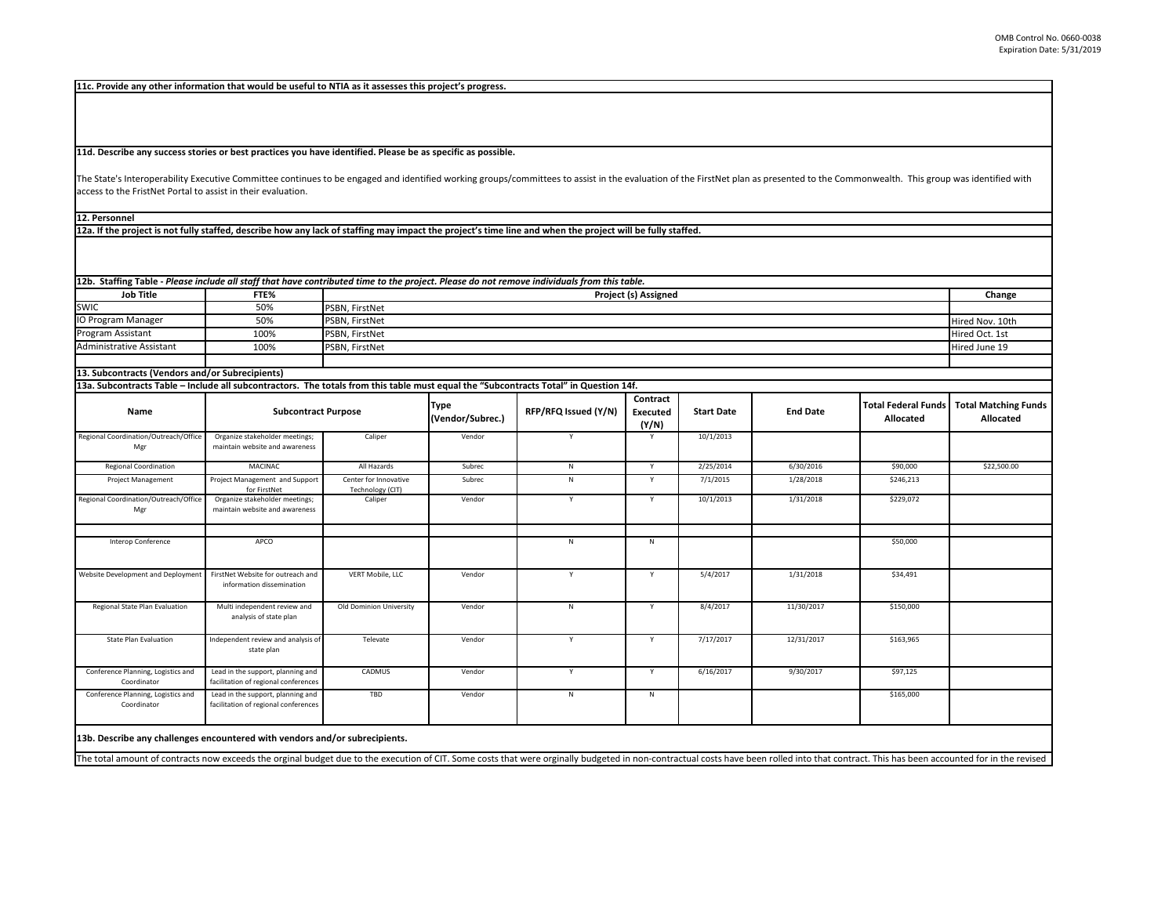| 13a. Subcontracts Table - Include all subcontractors. The totals from this table must equal the "Subcontracts Total" in Question 14f. |                                                                           |                                           |                                 |                      |                                      |                   |                 |                                                |                                   |
|---------------------------------------------------------------------------------------------------------------------------------------|---------------------------------------------------------------------------|-------------------------------------------|---------------------------------|----------------------|--------------------------------------|-------------------|-----------------|------------------------------------------------|-----------------------------------|
| <b>Name</b>                                                                                                                           | <b>Subcontract Purpose</b>                                                |                                           | <b>Type</b><br>(Vendor/Subrec.) | RFP/RFQ Issued (Y/N) | Contract<br><b>Executed</b><br>(Y/N) | <b>Start Date</b> | <b>End Date</b> | <b>Total Federal Funds</b><br><b>Allocated</b> | <b>Total Matching</b><br>Allocate |
| Regional Coordination/Outreach/Office<br>Mgr                                                                                          | Organize stakeholder meetings;<br>maintain website and awareness          | Caliper                                   | Vendor                          |                      | Y                                    | 10/1/2013         |                 |                                                |                                   |
| <b>Regional Coordination</b>                                                                                                          | <b>MACINAC</b>                                                            | All Hazards                               | Subrec                          | N                    | Y                                    | 2/25/2014         | 6/30/2016       | \$90,000                                       | \$22,500.00                       |
| <b>Project Management</b>                                                                                                             | Project Management and Support<br>for FirstNet                            | Center for Innovative<br>Technology (CIT) | Subrec                          | N                    | Y                                    | 7/1/2015          | 1/28/2018       | \$246,213                                      |                                   |
| Regional Coordination/Outreach/Office<br>Mgr                                                                                          | Organize stakeholder meetings;<br>maintain website and awareness          | Caliper                                   | Vendor                          | Y                    | Y                                    | 10/1/2013         | 1/31/2018       | \$229,072                                      |                                   |
| Interop Conference                                                                                                                    | APCO                                                                      |                                           |                                 | N                    | N.                                   |                   |                 | \$50,000                                       |                                   |
| Website Development and Deployment                                                                                                    | FirstNet Website for outreach and<br>information dissemination            | <b>VERT Mobile, LLC</b>                   | Vendor                          | $\mathsf{v}$         | Y                                    | 5/4/2017          | 1/31/2018       | \$34,491                                       |                                   |
| Regional State Plan Evaluation                                                                                                        | Multi independent review and<br>analysis of state plan                    | <b>Old Dominion University</b>            | Vendor                          | N                    | Y                                    | 8/4/2017          | 11/30/2017      | \$150,000                                      |                                   |
| <b>State Plan Evaluation</b>                                                                                                          | Independent review and analysis of<br>state plan                          | Televate                                  | Vendor                          | $\mathsf{v}$         | Y                                    | 7/17/2017         | 12/31/2017      | \$163,965                                      |                                   |
| Conference Planning, Logistics and<br>Coordinator                                                                                     | Lead in the support, planning and<br>facilitation of regional conferences | CADMUS                                    | Vendor                          | Y                    | Y                                    | 6/16/2017         | 9/30/2017       | \$97,125                                       |                                   |
| Conference Planning, Logistics and<br>Coordinator                                                                                     | Lead in the support, planning and<br>facilitation of regional conferences | TBD                                       | Vendor                          | N                    | N                                    |                   |                 | \$165,000                                      |                                   |

|                           |      | 12b. Staffing Table - Please include all staff that have contributed time to the project. Please do not remove individuals from this table. |                 |
|---------------------------|------|---------------------------------------------------------------------------------------------------------------------------------------------|-----------------|
| <b>Job Title</b>          | FTE% | <b>Project (s) Assigned</b>                                                                                                                 | Change          |
| <b>SWIC</b>               | 50%  | <b>PSBN, FirstNet</b>                                                                                                                       |                 |
| <b>IO Program Manager</b> | 50%  | <b>PSBN, FirstNet</b>                                                                                                                       | Hired Nov. 10th |
| <b>Program Assistant</b>  | 100% | <b>PSBN, FirstNet</b>                                                                                                                       | Hired Oct. 1st  |
| Administrative Assistant  | 100% | <b>PSBN, FirstNet</b>                                                                                                                       | Hired June 19   |
|                           |      |                                                                                                                                             |                 |

The State's Interoperability Executive Committee continues to be engaged and identified working groups/committees to assist in the evaluation of the FirstNet plan as access to the FristNet Portal to assist in their evaluation.

**13b. Describe any challenges encountered with vendors and/or subrecipients.** 

The total amount of contracts now exceeds the orginal budget due to the execution of CIT. Some costs that were orginally budgeted in non-contractual costs have bee

## **13. Subcontracts (Vendors and/or Subrecipients)**

|                 | presented to the Commonwealth. This group was identified with |                                                 |
|-----------------|---------------------------------------------------------------|-------------------------------------------------|
|                 |                                                               |                                                 |
|                 |                                                               |                                                 |
|                 |                                                               | Change                                          |
|                 |                                                               |                                                 |
|                 |                                                               | Hired Nov. 10th                                 |
|                 |                                                               | Hired Oct. 1st                                  |
|                 |                                                               | Hired June 19                                   |
|                 |                                                               |                                                 |
|                 |                                                               |                                                 |
| <b>End Date</b> | <b>Total Federal Funds</b><br><b>Allocated</b>                | <b>Total Matching Funds</b><br><b>Allocated</b> |
|                 |                                                               |                                                 |
| 6/30/2016       | \$90,000                                                      | \$22,500.00                                     |
| 1/28/2018       | \$246,213                                                     |                                                 |
|                 | \$229,072                                                     |                                                 |
| 1/31/2018       |                                                               |                                                 |
|                 |                                                               |                                                 |
|                 | \$50,000                                                      |                                                 |
| 1/31/2018       | \$34,491                                                      |                                                 |
| 11/30/2017      | \$150,000                                                     |                                                 |
| 12/31/2017      | \$163,965                                                     |                                                 |
| 9/30/2017       | \$97,125                                                      |                                                 |

**12a. If the project is not fully staffed, describe how any lack of staffing may impact the project's time line and when the project will be fully staffed.**

**12. Personnel** 

**11d. Describe any success stories or best practices you have identified. Please be as specific as possible.**

**11c. Provide any other information that would be useful to NTIA as it assesses this project's progress.**